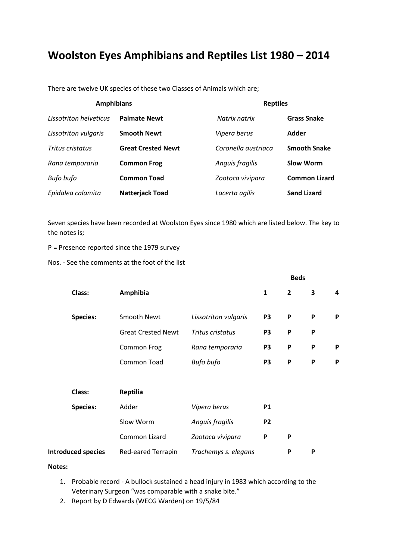## **Woolston Eyes Amphibians and Reptiles List 1980 – 2014**

There are twelve UK species of these two Classes of Animals which are;

| <b>Amphibians</b>           |                           | <b>Reptiles</b>     |                      |  |
|-----------------------------|---------------------------|---------------------|----------------------|--|
| Lissotriton helveticus      | <b>Palmate Newt</b>       | Natrix natrix       | <b>Grass Snake</b>   |  |
| <b>Lissotriton vulgaris</b> | <b>Smooth Newt</b>        | Vipera berus        | <b>Adder</b>         |  |
| Tritus cristatus            | <b>Great Crested Newt</b> | Coronella austriaca | <b>Smooth Snake</b>  |  |
| Rana temporaria             | <b>Common Frog</b>        | Anguis fragilis     | <b>Slow Worm</b>     |  |
| Bufo bufo                   | <b>Common Toad</b>        | Zootoca vivipara    | <b>Common Lizard</b> |  |
| Epidalea calamita           | <b>Natterjack Toad</b>    | Lacerta agilis      | <b>Sand Lizard</b>   |  |

Seven species have been recorded at Woolston Eyes since 1980 which are listed below. The key to the notes is;

P = Presence reported since the 1979 survey

Nos. - See the comments at the foot of the list

|                           |                           |                      |                | <b>Beds</b>    |   |   |
|---------------------------|---------------------------|----------------------|----------------|----------------|---|---|
| Class:                    | Amphibia                  |                      | 1              | $\overline{2}$ | 3 | 4 |
| <b>Species:</b>           | <b>Smooth Newt</b>        | Lissotriton vulgaris | P <sub>3</sub> | $\mathsf{P}$   | P | P |
|                           | <b>Great Crested Newt</b> | Tritus cristatus     | P <sub>3</sub> | P              | P |   |
|                           | Common Frog               | Rana temporaria      | P <sub>3</sub> | P              | P | P |
|                           | <b>Common Toad</b>        | Bufo bufo            | P <sub>3</sub> | P              | P | P |
|                           |                           |                      |                |                |   |   |
| Class:                    | <b>Reptilia</b>           |                      |                |                |   |   |
| <b>Species:</b>           | Adder                     | Vipera berus         | <b>P1</b>      |                |   |   |
|                           | Slow Worm                 | Anguis fragilis      | P <sub>2</sub> |                |   |   |
|                           | Common Lizard             | Zootoca vivipara     | P              | P              |   |   |
| <b>Introduced species</b> | Red-eared Terrapin        | Trachemys s. elegans |                | P              | P |   |

## **Notes:**

- 1. Probable record A bullock sustained a head injury in 1983 which according to the Veterinary Surgeon "was comparable with a snake bite."
- 2. Report by D Edwards (WECG Warden) on 19/5/84